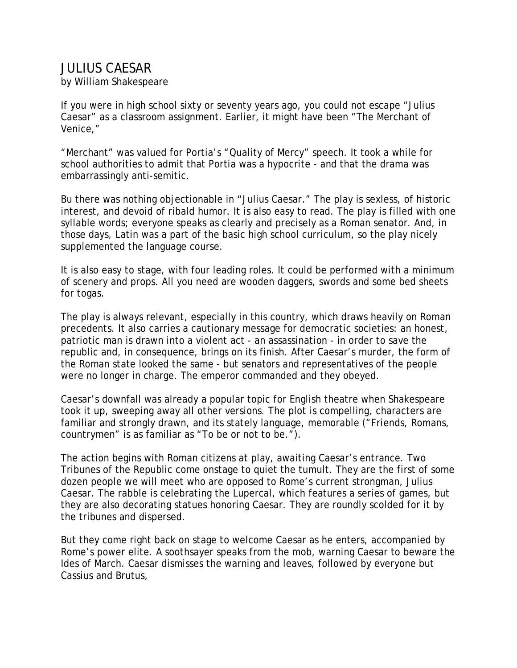## JULIUS CAESAR

by William Shakespeare

If you were in high school sixty or seventy years ago, you could not escape "Julius Caesar" as a classroom assignment. Earlier, it might have been "The Merchant of Venice,"

"Merchant" was valued for Portia's "Quality of Mercy" speech. It took a while for school authorities to admit that Portia was a hypocrite - and that the drama was embarrassingly anti-semitic.

Bu there was nothing objectionable in "Julius Caesar." The play is sexless, of historic interest, and devoid of ribald humor. It is also easy to read. The play is filled with one syllable words; everyone speaks as clearly and precisely as a Roman senator. And, in those days, Latin was a part of the basic high school curriculum, so the play nicely supplemented the language course.

It is also easy to stage, with four leading roles. It could be performed with a minimum of scenery and props. All you need are wooden daggers, swords and some bed sheets for togas.

The play is always relevant, especially in this country, which draws heavily on Roman precedents. It also carries a cautionary message for democratic societies: an honest, patriotic man is drawn into a violent act - an assassination - in order to save the republic and, in consequence, brings on its finish. After Caesar's murder, the form of the Roman state looked the same - but senators and representatives of the people were no longer in charge. The emperor commanded and they obeyed.

Caesar's downfall was already a popular topic for English theatre when Shakespeare took it up, sweeping away all other versions. The plot is compelling, characters are familiar and strongly drawn, and its stately language, memorable ("Friends, Romans, countrymen" is as familiar as "To be or not to be.").

The action begins with Roman citizens at play, awaiting Caesar's entrance. Two Tribunes of the Republic come onstage to quiet the tumult. They are the first of some dozen people we will meet who are opposed to Rome's current strongman, Julius Caesar. The rabble is celebrating the Lupercal, which features a series of games, but they are also decorating statues honoring Caesar. They are roundly scolded for it by the tribunes and dispersed.

But they come right back on stage to welcome Caesar as he enters, accompanied by Rome's power elite. A soothsayer speaks from the mob, warning Caesar to beware the Ides of March. Caesar dismisses the warning and leaves, followed by everyone but Cassius and Brutus,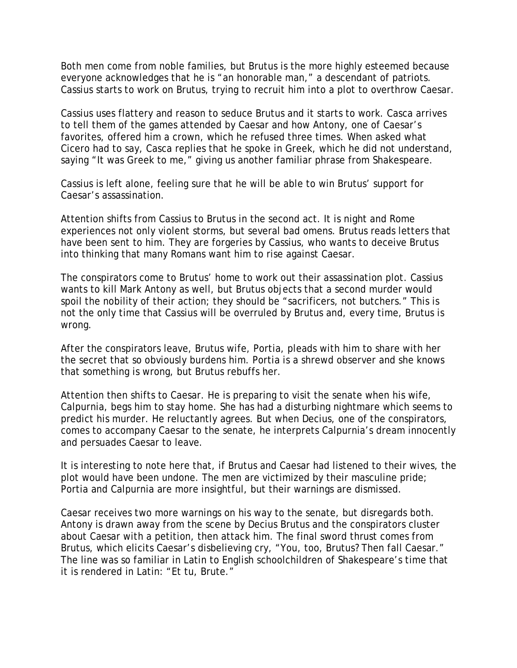Both men come from noble families, but Brutus is the more highly esteemed because everyone acknowledges that he is "an honorable man," a descendant of patriots. Cassius starts to work on Brutus, trying to recruit him into a plot to overthrow Caesar.

Cassius uses flattery and reason to seduce Brutus and it starts to work. Casca arrives to tell them of the games attended by Caesar and how Antony, one of Caesar's favorites, offered him a crown, which he refused three times. When asked what Cicero had to say, Casca replies that he spoke in Greek, which he did not understand, saying "It was Greek to me," giving us another familiar phrase from Shakespeare.

Cassius is left alone, feeling sure that he will be able to win Brutus' support for Caesar's assassination.

Attention shifts from Cassius to Brutus in the second act. It is night and Rome experiences not only violent storms, but several bad omens. Brutus reads letters that have been sent to him. They are forgeries by Cassius, who wants to deceive Brutus into thinking that many Romans want him to rise against Caesar.

The conspirators come to Brutus' home to work out their assassination plot. Cassius wants to kill Mark Antony as well, but Brutus objects that a second murder would spoil the nobility of their action; they should be "sacrificers, not butchers." This is not the only time that Cassius will be overruled by Brutus and, every time, Brutus is wrong.

After the conspirators leave, Brutus wife, Portia, pleads with him to share with her the secret that so obviously burdens him. Portia is a shrewd observer and she knows that something is wrong, but Brutus rebuffs her.

Attention then shifts to Caesar. He is preparing to visit the senate when his wife, Calpurnia, begs him to stay home. She has had a disturbing nightmare which seems to predict his murder. He reluctantly agrees. But when Decius, one of the conspirators, comes to accompany Caesar to the senate, he interprets Calpurnia's dream innocently and persuades Caesar to leave.

It is interesting to note here that, if Brutus and Caesar had listened to their wives, the plot would have been undone. The men are victimized by their masculine pride; Portia and Calpurnia are more insightful, but their warnings are dismissed.

Caesar receives two more warnings on his way to the senate, but disregards both. Antony is drawn away from the scene by Decius Brutus and the conspirators cluster about Caesar with a petition, then attack him. The final sword thrust comes from Brutus, which elicits Caesar's disbelieving cry, "You, too, Brutus? Then fall Caesar." The line was so familiar in Latin to English schoolchildren of Shakespeare's time that it is rendered in Latin: "Et tu, Brute."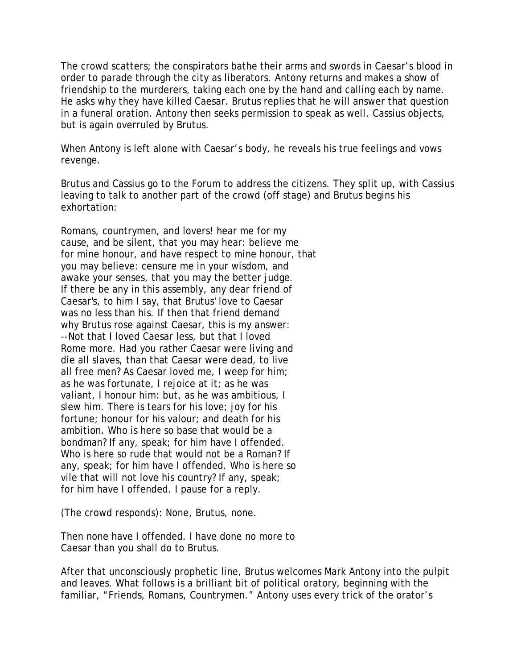The crowd scatters; the conspirators bathe their arms and swords in Caesar's blood in order to parade through the city as liberators. Antony returns and makes a show of friendship to the murderers, taking each one by the hand and calling each by name. He asks why they have killed Caesar. Brutus replies that he will answer that question in a funeral oration. Antony then seeks permission to speak as well. Cassius objects, but is again overruled by Brutus.

When Antony is left alone with Caesar's body, he reveals his true feelings and vows revenge.

Brutus and Cassius go to the Forum to address the citizens. They split up, with Cassius leaving to talk to another part of the crowd (off stage) and Brutus begins his exhortation:

Romans, countrymen, and lovers! hear me for my cause, and be silent, that you may hear: believe me for mine honour, and have respect to mine honour, that you may believe: censure me in your wisdom, and awake your senses, that you may the better judge. If there be any in this assembly, any dear friend of Caesar's, to him I say, that Brutus' love to Caesar was no less than his. If then that friend demand why Brutus rose against Caesar, this is my answer: --Not that I loved Caesar less, but that I loved Rome more. Had you rather Caesar were living and die all slaves, than that Caesar were dead, to live all free men? As Caesar loved me, I weep for him; as he was fortunate, I rejoice at it; as he was valiant, I honour him: but, as he was ambitious, I slew him. There is tears for his love; joy for his fortune; honour for his valour; and death for his ambition. Who is here so base that would be a bondman? If any, speak; for him have I offended. Who is here so rude that would not be a Roman? If any, speak; for him have I offended. Who is here so vile that will not love his country? If any, speak; for him have I offended. I pause for a reply.

(The crowd responds): None, Brutus, none.

Then none have I offended. I have done no more to Caesar than you shall do to Brutus.

After that unconsciously prophetic line, Brutus welcomes Mark Antony into the pulpit and leaves. What follows is a brilliant bit of political oratory, beginning with the familiar, "Friends, Romans, Countrymen." Antony uses every trick of the orator's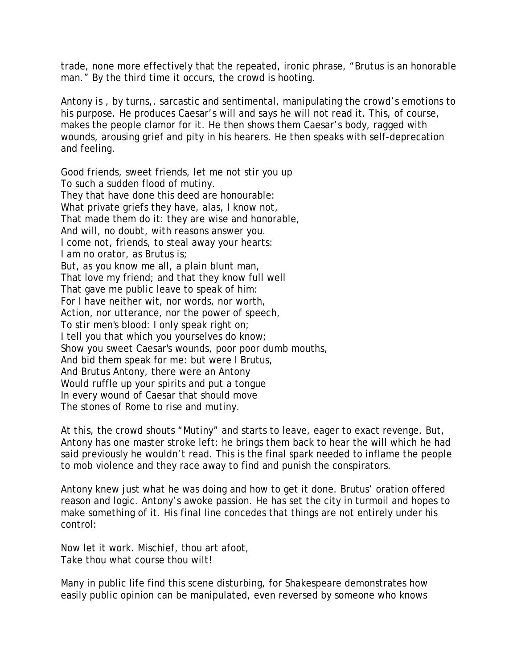trade, none more effectively that the repeated, ironic phrase, "Brutus is an honorable man." By the third time it occurs, the crowd is hooting.

Antony is , by turns,. sarcastic and sentimental, manipulating the crowd's emotions to his purpose. He produces Caesar's will and says he will not read it. This, of course, makes the people clamor for it. He then shows them Caesar's body, ragged with wounds, arousing grief and pity in his hearers. He then speaks with self-deprecation and feeling.

Good friends, sweet friends, let me not stir you up To such a sudden flood of mutiny. They that have done this deed are honourable: What private griefs they have, alas, I know not, That made them do it: they are wise and honorable, And will, no doubt, with reasons answer you. I come not, friends, to steal away your hearts: I am no orator, as Brutus is; But, as you know me all, a plain blunt man, That love my friend; and that they know full well That gave me public leave to speak of him: For I have neither wit, nor words, nor worth, Action, nor utterance, nor the power of speech, To stir men's blood: I only speak right on; I tell you that which you yourselves do know; Show you sweet Caesar's wounds, poor poor dumb mouths, And bid them speak for me: but were I Brutus, And Brutus Antony, there were an Antony Would ruffle up your spirits and put a tongue In every wound of Caesar that should move The stones of Rome to rise and mutiny.

At this, the crowd shouts "Mutiny" and starts to leave, eager to exact revenge. But, Antony has one master stroke left: he brings them back to hear the will which he had said previously he wouldn't read. This is the final spark needed to inflame the people to mob violence and they race away to find and punish the conspirators.

Antony knew just what he was doing and how to get it done. Brutus' oration offered reason and logic. Antony's awoke passion. He has set the city in turmoil and hopes to make something of it. His final line concedes that things are not entirely under his control:

Now let it work. Mischief, thou art afoot, Take thou what course thou wilt!

Many in public life find this scene disturbing, for Shakespeare demonstrates how easily public opinion can be manipulated, even reversed by someone who knows